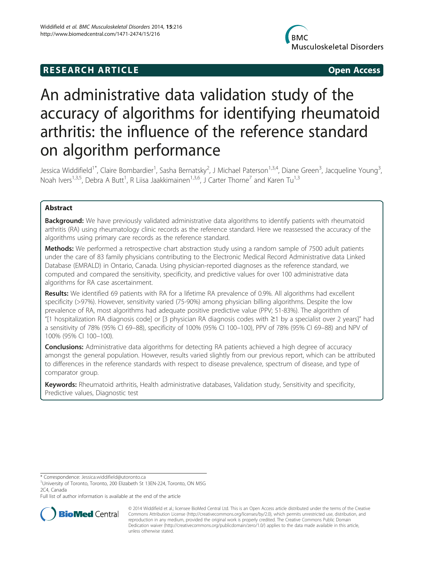# **RESEARCH ARTICLE Example 2018 12:00 Open Access**



# An administrative data validation study of the accuracy of algorithms for identifying rheumatoid arthritis: the influence of the reference standard on algorithm performance

Jessica Widdifield<sup>1\*</sup>, Claire Bombardier<sup>1</sup>, Sasha Bernatsky<sup>2</sup>, J Michael Paterson<sup>1,3,4</sup>, Diane Green<sup>3</sup>, Jacqueline Young<sup>3</sup> , Noah Ivers<sup>1,3,5</sup>, Debra A Butt<sup>1</sup>, R Liisa Jaakkimainen<sup>1,3,6</sup>, J Carter Thorne<sup>7</sup> and Karen Tu<sup>1,3</sup>

# Abstract

Background: We have previously validated administrative data algorithms to identify patients with rheumatoid arthritis (RA) using rheumatology clinic records as the reference standard. Here we reassessed the accuracy of the algorithms using primary care records as the reference standard.

Methods: We performed a retrospective chart abstraction study using a random sample of 7500 adult patients under the care of 83 family physicians contributing to the Electronic Medical Record Administrative data Linked Database (EMRALD) in Ontario, Canada. Using physician-reported diagnoses as the reference standard, we computed and compared the sensitivity, specificity, and predictive values for over 100 administrative data algorithms for RA case ascertainment.

Results: We identified 69 patients with RA for a lifetime RA prevalence of 0.9%. All algorithms had excellent specificity (>97%). However, sensitivity varied (75-90%) among physician billing algorithms. Despite the low prevalence of RA, most algorithms had adequate positive predictive value (PPV; 51-83%). The algorithm of "[1 hospitalization RA diagnosis code] or [3 physician RA diagnosis codes with ≥1 by a specialist over 2 years]" had a sensitivity of 78% (95% CI 69–88), specificity of 100% (95% CI 100–100), PPV of 78% (95% CI 69–88) and NPV of 100% (95% CI 100–100).

**Conclusions:** Administrative data algorithms for detecting RA patients achieved a high degree of accuracy amongst the general population. However, results varied slightly from our previous report, which can be attributed to differences in the reference standards with respect to disease prevalence, spectrum of disease, and type of comparator group.

Keywords: Rheumatoid arthritis, Health administrative databases, Validation study, Sensitivity and specificity, Predictive values, Diagnostic test

\* Correspondence: [Jessica.widdifield@utoronto.ca](mailto:Jessica.widdifield@utoronto.ca) <sup>1</sup>

<sup>1</sup>University of Toronto, Toronto, 200 Elizabeth St 13EN-224, Toronto, ON M5G 2C4, Canada

Full list of author information is available at the end of the article



© 2014 Widdifield et al.; licensee BioMed Central Ltd. This is an Open Access article distributed under the terms of the Creative Commons Attribution License [\(http://creativecommons.org/licenses/by/2.0\)](http://creativecommons.org/licenses/by/2.0), which permits unrestricted use, distribution, and reproduction in any medium, provided the original work is properly credited. The Creative Commons Public Domain Dedication waiver [\(http://creativecommons.org/publicdomain/zero/1.0/](http://creativecommons.org/publicdomain/zero/1.0/)) applies to the data made available in this article, unless otherwise stated.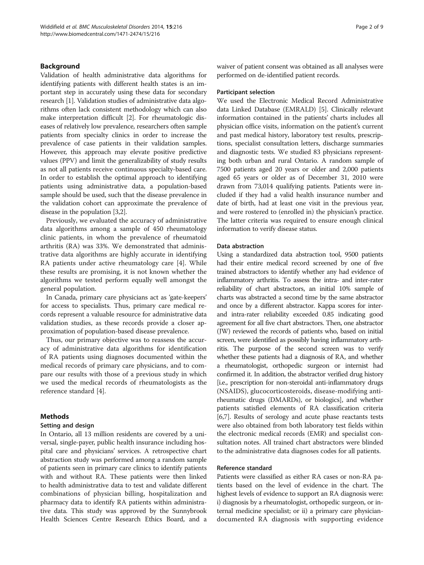# Background

Validation of health administrative data algorithms for identifying patients with different health states is an important step in accurately using these data for secondary research [[1](#page-8-0)]. Validation studies of administrative data algorithms often lack consistent methodology which can also make interpretation difficult [[2](#page-8-0)]. For rheumatologic diseases of relatively low prevalence, researchers often sample patients from specialty clinics in order to increase the prevalence of case patients in their validation samples. However, this approach may elevate positive predictive values (PPV) and limit the generalizability of study results as not all patients receive continuous specialty-based care. In order to establish the optimal approach to identifying patients using administrative data, a population-based sample should be used, such that the disease prevalence in the validation cohort can approximate the prevalence of disease in the population [[3,2](#page-8-0)].

Previously, we evaluated the accuracy of administrative data algorithms among a sample of 450 rheumatology clinic patients, in whom the prevalence of rheumatoid arthritis (RA) was 33%. We demonstrated that administrative data algorithms are highly accurate in identifying RA patients under active rheumatology care [\[4](#page-8-0)]. While these results are promising, it is not known whether the algorithms we tested perform equally well amongst the general population.

In Canada, primary care physicians act as 'gate-keepers' for access to specialists. Thus, primary care medical records represent a valuable resource for administrative data validation studies, as these records provide a closer approximation of population-based disease prevalence.

Thus, our primary objective was to reassess the accuracy of administrative data algorithms for identification of RA patients using diagnoses documented within the medical records of primary care physicians, and to compare our results with those of a previous study in which we used the medical records of rheumatologists as the reference standard [[4\]](#page-8-0).

#### Methods

#### Setting and design

In Ontario, all 13 million residents are covered by a universal, single-payer, public health insurance including hospital care and physicians' services. A retrospective chart abstraction study was performed among a random sample of patients seen in primary care clinics to identify patients with and without RA. These patients were then linked to health administrative data to test and validate different combinations of physician billing, hospitalization and pharmacy data to identify RA patients within administrative data. This study was approved by the Sunnybrook Health Sciences Centre Research Ethics Board, and a waiver of patient consent was obtained as all analyses were performed on de-identified patient records.

#### Participant selection

We used the Electronic Medical Record Administrative data Linked Database (EMRALD) [\[5](#page-8-0)]. Clinically relevant information contained in the patients' charts includes all physician office visits, information on the patient's current and past medical history, laboratory test results, prescriptions, specialist consultation letters, discharge summaries and diagnostic tests. We studied 83 physicians representing both urban and rural Ontario. A random sample of 7500 patients aged 20 years or older and 2,000 patients aged 65 years or older as of December 31, 2010 were drawn from 73,014 qualifying patients. Patients were included if they had a valid health insurance number and date of birth, had at least one visit in the previous year, and were rostered to (enrolled in) the physician's practice. The latter criteria was required to ensure enough clinical information to verify disease status.

#### Data abstraction

Using a standardized data abstraction tool, 9500 patients had their entire medical record screened by one of five trained abstractors to identify whether any had evidence of inflammatory arthritis. To assess the intra- and inter-rater reliability of chart abstractors, an initial 10% sample of charts was abstracted a second time by the same abstractor and once by a different abstractor. Kappa scores for interand intra-rater reliability exceeded 0.85 indicating good agreement for all five chart abstractors. Then, one abstractor (JW) reviewed the records of patients who, based on initial screen, were identified as possibly having inflammatory arthritis. The purpose of the second screen was to verify whether these patients had a diagnosis of RA, and whether a rheumatologist, orthopedic surgeon or internist had confirmed it. In addition, the abstractor verified drug history [i.e., prescription for non-steroidal anti-inflammatory drugs (NSAIDS), glucocorticosteroids, disease-modifying antirheumatic drugs (DMARDs), or biologics], and whether patients satisfied elements of RA classification criteria [[6,7](#page-8-0)]. Results of serology and acute phase reactants tests were also obtained from both laboratory test fields within the electronic medical records (EMR) and specialist consultation notes. All trained chart abstractors were blinded to the administrative data diagnoses codes for all patients.

#### Reference standard

Patients were classified as either RA cases or non-RA patients based on the level of evidence in the chart. The highest levels of evidence to support an RA diagnosis were: i) diagnosis by a rheumatologist, orthopedic surgeon, or internal medicine specialist; or ii) a primary care physiciandocumented RA diagnosis with supporting evidence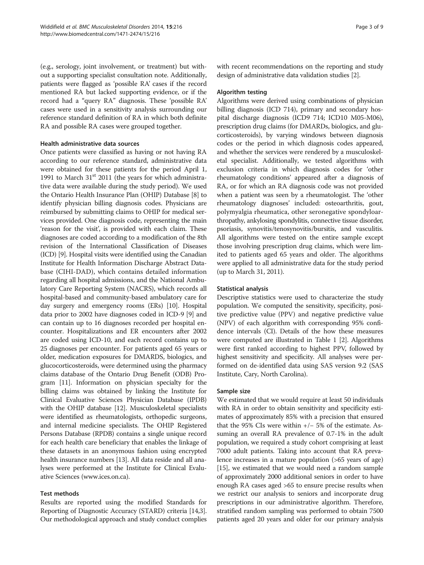(e.g., serology, joint involvement, or treatment) but without a supporting specialist consultation note. Additionally, patients were flagged as 'possible RA' cases if the record mentioned RA but lacked supporting evidence, or if the record had a "query RA" diagnosis. These 'possible RA' cases were used in a sensitivity analysis surrounding our reference standard definition of RA in which both definite RA and possible RA cases were grouped together.

# Health administrative data sources

Once patients were classified as having or not having RA according to our reference standard, administrative data were obtained for these patients for the period April 1, 1991 to March  $31<sup>st</sup>$  2011 (the years for which administrative data were available during the study period). We used the Ontario Health Insurance Plan (OHIP) Database [[8\]](#page-8-0) to identify physician billing diagnosis codes. Physicians are reimbursed by submitting claims to OHIP for medical services provided. One diagnosis code, representing the main 'reason for the visit', is provided with each claim. These diagnoses are coded according to a modification of the 8th revision of the International Classification of Diseases (ICD) [[9\]](#page-8-0). Hospital visits were identified using the Canadian Institute for Health Information Discharge Abstract Database (CIHI-DAD), which contains detailed information regarding all hospital admissions, and the National Ambulatory Care Reporting System (NACRS), which records all hospital-based and community-based ambulatory care for day surgery and emergency rooms (ERs) [\[10\]](#page-8-0). Hospital data prior to 2002 have diagnoses coded in ICD-9 [[9\]](#page-8-0) and can contain up to 16 diagnoses recorded per hospital encounter. Hospitalizations and ER encounters after 2002 are coded using ICD-10, and each record contains up to 25 diagnoses per encounter. For patients aged 65 years or older, medication exposures for DMARDS, biologics, and glucocorticosteroids, were determined using the pharmacy claims database of the Ontario Drug Benefit (ODB) Program [\[11\]](#page-8-0). Information on physician specialty for the billing claims was obtained by linking the Institute for Clinical Evaluative Sciences Physician Database (IPDB) with the OHIP database [[12](#page-8-0)]. Musculoskeletal specialists were identified as rheumatologists, orthopedic surgeons, and internal medicine specialists. The OHIP Registered Persons Database (RPDB) contains a single unique record for each health care beneficiary that enables the linkage of these datasets in an anonymous fashion using encrypted health insurance numbers [\[13\]](#page-8-0). All data reside and all analyses were performed at the Institute for Clinical Evaluative Sciences [\(www.ices.on.ca](http://www.ices.on.ca)).

# Test methods

Results are reported using the modified Standards for Reporting of Diagnostic Accuracy (STARD) criteria [[14](#page-8-0),[3](#page-8-0)]. Our methodological approach and study conduct complies

with recent recommendations on the reporting and study design of administrative data validation studies [[2](#page-8-0)].

# Algorithm testing

Algorithms were derived using combinations of physician billing diagnosis (ICD 714), primary and secondary hospital discharge diagnosis (ICD9 714; ICD10 M05-M06), prescription drug claims (for DMARDs, biologics, and glucorticosteroids), by varying windows between diagnosis codes or the period in which diagnosis codes appeared, and whether the services were rendered by a musculoskeletal specialist. Additionally, we tested algorithms with exclusion criteria in which diagnosis codes for 'other rheumatology conditions' appeared after a diagnosis of RA, or for which an RA diagnosis code was not provided when a patient was seen by a rheumatologist. The 'other rheumatology diagnoses' included: osteoarthritis, gout, polymyalgia rheumatica, other seronegative spondyloarthropathy, ankylosing spondylitis, connective tissue disorder, psoriasis, synovitis/tenosynovitis/bursitis, and vasculitis. All algorithms were tested on the entire sample except those involving prescription drug claims, which were limited to patients aged 65 years and older. The algorithms were applied to all administrative data for the study period (up to March 31, 2011).

#### Statistical analysis

Descriptive statistics were used to characterize the study population. We computed the sensitivity, specificity, positive predictive value (PPV) and negative predictive value (NPV) of each algorithm with corresponding 95% confidence intervals (CI). Details of the how these measures were computed are illustrated in Table [1](#page-3-0) [[2\]](#page-8-0). Algorithms were first ranked according to highest PPV, followed by highest sensitivity and specificity. All analyses were performed on de-identified data using SAS version 9.2 (SAS Institute, Cary, North Carolina).

#### Sample size

We estimated that we would require at least 50 individuals with RA in order to obtain sensitivity and specificity estimates of approximately 85% with a precision that ensured that the 95% CIs were within +/− 5% of the estimate. Assuming an overall RA prevalence of 0.7-1% in the adult population, we required a study cohort comprising at least 7000 adult patients. Taking into account that RA prevalence increases in a mature population (>65 years of age) [[15](#page-8-0)], we estimated that we would need a random sample of approximately 2000 additional seniors in order to have enough RA cases aged >65 to ensure precise results when we restrict our analysis to seniors and incorporate drug prescriptions in our administrative algorithm. Therefore, stratified random sampling was performed to obtain 7500 patients aged 20 years and older for our primary analysis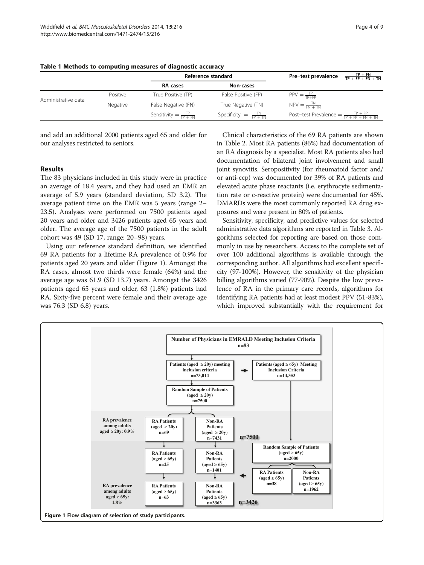|                     |          |                                    | Reference standard                 | Pre-test prevalence $=\frac{TP + FN}{TP + FP + FN + TN}$  |
|---------------------|----------|------------------------------------|------------------------------------|-----------------------------------------------------------|
|                     |          | <b>RA</b> cases                    | Non-cases                          |                                                           |
| Administrative data | Positive | True Positive (TP)                 | False Positive (FP)                | $PPV = \frac{TP}{TP + FP}$                                |
|                     | Negative | False Negative (FN)                | True Negative (TN)                 | $NPV = \frac{TN}{FN + TN}$                                |
|                     |          | Sensitivity $= \frac{TP}{TP + FN}$ | Specificity = $\frac{TN}{FP + TN}$ | Post-test Prevalence $=\frac{TP + FP}{TP + FP + FN + TN}$ |

<span id="page-3-0"></span>

|  |  |  |  |  | Table 1 Methods to computing measures of diagnostic accuracy |  |  |  |  |
|--|--|--|--|--|--------------------------------------------------------------|--|--|--|--|
|--|--|--|--|--|--------------------------------------------------------------|--|--|--|--|

and add an additional 2000 patients aged 65 and older for our analyses restricted to seniors.

# Results

The 83 physicians included in this study were in practice an average of 18.4 years, and they had used an EMR an average of 5.9 years (standard deviation, SD 3.2). The average patient time on the EMR was 5 years (range 2– 23.5). Analyses were performed on 7500 patients aged 20 years and older and 3426 patients aged 65 years and older. The average age of the 7500 patients in the adult cohort was 49 (SD 17, range: 20–98) years.

Using our reference standard definition, we identified 69 RA patients for a lifetime RA prevalence of 0.9% for patients aged 20 years and older (Figure 1). Amongst the RA cases, almost two thirds were female (64%) and the average age was 61.9 (SD 13.7) years. Amongst the 3426 patients aged 65 years and older, 63 (1.8%) patients had RA. Sixty-five percent were female and their average age was 76.3 (SD 6.8) years.

Clinical characteristics of the 69 RA patients are shown in Table [2.](#page-4-0) Most RA patients (86%) had documentation of an RA diagnosis by a specialist. Most RA patients also had documentation of bilateral joint involvement and small joint synovitis. Seropositivity (for rheumatoid factor and/ or anti-ccp) was documented for 39% of RA patients and elevated acute phase reactants (i.e. erythrocyte sedimentation rate or c-reactive protein) were documented for 45%. DMARDs were the most commonly reported RA drug exposures and were present in 80% of patients.

Sensitivity, specificity, and predictive values for selected administrative data algorithms are reported in Table [3.](#page-5-0) Algorithms selected for reporting are based on those commonly in use by researchers. Access to the complete set of over 100 additional algorithms is available through the corresponding author. All algorithms had excellent specificity (97-100%). However, the sensitivity of the physician billing algorithms varied (77-90%). Despite the low prevalence of RA in the primary care records, algorithms for identifying RA patients had at least modest PPV (51-83%), which improved substantially with the requirement for

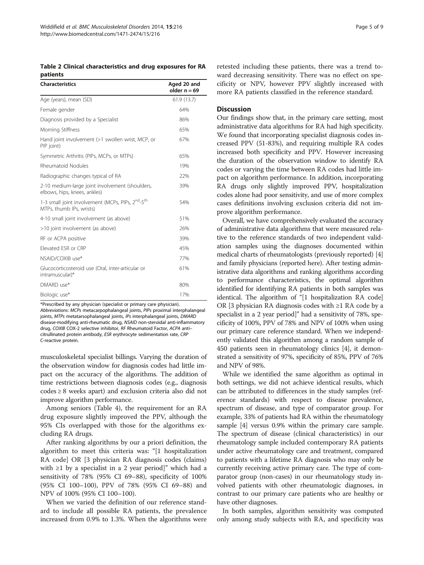<span id="page-4-0"></span>Table 2 Clinical characteristics and drug exposures for RA patients

| <b>Characteristics</b>                                                                                | Aged 20 and<br>older $n = 69$ |
|-------------------------------------------------------------------------------------------------------|-------------------------------|
| Age (years), mean (SD)                                                                                | 61.9 (13.7)                   |
| Female gender                                                                                         | 64%                           |
| Diagnosis provided by a Specialist                                                                    | 86%                           |
| Morning Stiffness                                                                                     | 65%                           |
| Hand joint involvement (>1 swollen wrist, MCP, or<br>PIP joint)                                       | 67%                           |
| Symmetric Arthritis (PIPs, MCPs, or MTPs)                                                             | 65%                           |
| Rheumatoid Nodules                                                                                    | 19%                           |
| Radiographic changes typical of RA                                                                    | 22%                           |
| 2-10 medium-large joint involvement (shoulders,<br>elbows, hips, knees, ankles)                       | 39%                           |
| 1-3 small joint involvement (MCPs, PIPs, 2 <sup>nd</sup> -5 <sup>th</sup><br>MTPs, thumb IPs, wrists) | 54%                           |
| 4-10 small joint involvement (as above)                                                               | 51%                           |
| >10 joint involvement (as above)                                                                      | 26%                           |
| RF or ACPA positive                                                                                   | 39%                           |
| Flevated FSR or CRP                                                                                   | 45%                           |
| NSAID/COXIB use*                                                                                      | 77%                           |
| Glucocorticosteroid use (Oral, inter-articular or<br>intramuscular)*                                  | 61%                           |
| DMARD use*                                                                                            | 80%                           |
| Biologic use*                                                                                         | 17%                           |

\*Prescribed by any physician (specialist or primary care physician). Abbreviations: MCPs metacarpophalangeal joints, PIPs proximal interphalangeal joints, MTPs metatarsophalangeal joints, IPs interphalangeal joints, DMARD disease-modifying anti-rheumatic drug, NSAID non-steroidal anti-inflammatory drug, COXIB COX-2 selective inhibitor, RF Rheumatoid Factor, ACPA anti– citrullinated protein antibody, ESR erythrocyte sedimentation rate, CRP C-reactive protein.

musculoskeletal specialist billings. Varying the duration of the observation window for diagnosis codes had little impact on the accuracy of the algorithms. The addition of time restrictions between diagnosis codes (e.g., diagnosis codes ≥ 8 weeks apart) and exclusion criteria also did not improve algorithm performance.

Among seniors (Table [4](#page-6-0)), the requirement for an RA drug exposure slightly improved the PPV, although the 95% CIs overlapped with those for the algorithms excluding RA drugs.

After ranking algorithms by our a priori definition, the algorithm to meet this criteria was: "[1 hospitalization RA code] OR [3 physician RA diagnosis codes (claims) with  $\geq 1$  by a specialist in a 2 year period]" which had a sensitivity of 78% (95% CI 69–88), specificity of 100% (95% CI 100–100), PPV of 78% (95% CI 69–88) and NPV of 100% (95% CI 100–100).

When we varied the definition of our reference standard to include all possible RA patients, the prevalence increased from 0.9% to 1.3%. When the algorithms were retested including these patients, there was a trend toward decreasing sensitivity. There was no effect on specificity or NPV, however PPV slightly increased with more RA patients classified in the reference standard.

# **Discussion**

Our findings show that, in the primary care setting, most administrative data algorithms for RA had high specificity. We found that incorporating specialist diagnosis codes increased PPV (51-83%), and requiring multiple RA codes increased both specificity and PPV. However increasing the duration of the observation window to identify RA codes or varying the time between RA codes had little impact on algorithm performance. In addition, incorporating RA drugs only slightly improved PPV, hospitalization codes alone had poor sensitivity, and use of more complex cases definitions involving exclusion criteria did not improve algorithm performance.

Overall, we have comprehensively evaluated the accuracy of administrative data algorithms that were measured relative to the reference standards of two independent validation samples using the diagnoses documented within medical charts of rheumatologists (previously reported) [[4](#page-8-0)] and family physicians (reported here). After testing administrative data algorithms and ranking algorithms according to performance characteristics, the optimal algorithm identified for identifying RA patients in both samples was identical. The algorithm of "[1 hospitalization RA code] OR [3 physician RA diagnosis codes with ≥1 RA code by a specialist in a 2 year period]" had a sensitivity of 78%, specificity of 100%, PPV of 78% and NPV of 100% when using our primary care reference standard. When we independently validated this algorithm among a random sample of 450 patients seen in rheumatology clinics [[4](#page-8-0)], it demonstrated a sensitivity of 97%, specificity of 85%, PPV of 76% and NPV of 98%.

While we identified the same algorithm as optimal in both settings, we did not achieve identical results, which can be attributed to differences in the study samples (reference standards) with respect to disease prevalence, spectrum of disease, and type of comparator group. For example, 33% of patients had RA within the rheumatology sample [\[4](#page-8-0)] versus 0.9% within the primary care sample. The spectrum of disease (clinical characteristics) in our rheumatology sample included contemporary RA patients under active rheumatology care and treatment, compared to patients with a lifetime RA diagnosis who may only be currently receiving active primary care. The type of comparator group (non-cases) in our rheumatology study involved patients with other rheumatologic diagnoses, in contrast to our primary care patients who are healthy or have other diagnoses.

In both samples, algorithm sensitivity was computed only among study subjects with RA, and specificity was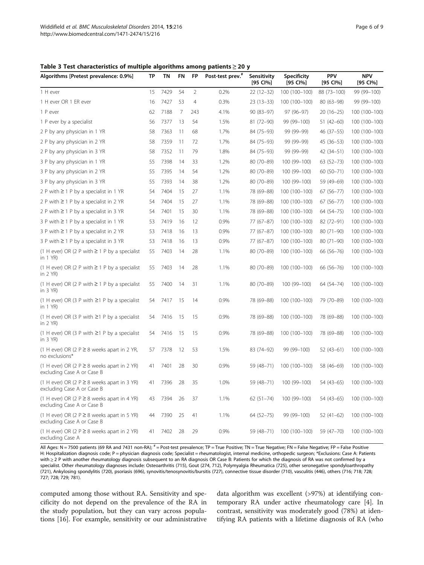<span id="page-5-0"></span>Table 3 Test characteristics of multiple algorithms among patients  $\geq$  20 y

| Algorithms [Pretest prevalence: 0.9%]                                         | ТP | ΤN   | FN             | FP             | Post-test prev." | Sensitivity<br>$[95 \text{ Cl}\%]$ | <b>Specificity</b><br>[95 CI%] | <b>PPV</b><br>[95 Cl%] | <b>NPV</b><br>$[95 \text{ Cl}\%]$ |
|-------------------------------------------------------------------------------|----|------|----------------|----------------|------------------|------------------------------------|--------------------------------|------------------------|-----------------------------------|
| 1 H ever                                                                      | 15 | 7429 | 54             | $\overline{2}$ | 0.2%             | $22(12-32)$                        | 100 (100-100)                  | 88 (73-100)            | 99 (99-100)                       |
| 1 H ever OR 1 ER ever                                                         | 16 | 7427 | 53             | $\overline{4}$ | 0.3%             | $23(13-33)$                        | 100 (100-100)                  | 80 (63-98)             | 99 (99-100)                       |
| 1 P ever                                                                      | 62 | 7188 | $\overline{7}$ | 243            | 4.1%             | 90 (83-97)                         | 97 (96-97)                     | $20(16-25)$            | 100 (100-100)                     |
| 1 P ever by a specialist                                                      | 56 | 7377 | 13             | 54             | 1.5%             | $81(72 - 90)$                      | 99 (99-100)                    | $51(42-60)$            | 100 (100-100)                     |
| 2 P by any physician in 1 YR                                                  | 58 | 7363 | 11             | 68             | 1.7%             | 84 (75-93)                         | 99 (99-99)                     | 46 (37 - 55)           | 100 (100-100)                     |
| 2 P by any physician in 2 YR                                                  | 58 | 7359 | 11             | 72             | 1.7%             | 84 (75-93)                         | 99 (99-99)                     | 45 (36-53)             | 100 (100-100)                     |
| 2 P by any physician in 3 YR                                                  | 58 | 7352 | 11             | 79             | 1.8%             | 84 (75-93)                         | 99 (99-99)                     | 42 (34-51)             | 100 (100-100)                     |
| 3 P by any physician in 1 YR                                                  | 55 | 7398 | 14             | 33             | 1.2%             | 80 (70-89)                         | 100 (99-100)                   | $63(52-73)$            | 100 (100-100)                     |
| 3 P by any physician in 2 YR                                                  | 55 | 7395 | 14             | 54             | 1.2%             | 80 (70-89)                         | 100 (99-100)                   | 60 (50-71)             | 100 (100-100)                     |
| 3 P by any physician in 3 YR                                                  | 55 | 7393 | 14             | 38             | 1.2%             | 80 (70-89)                         | 100 (99-100)                   | 59 (49-69)             | 100 (100-100)                     |
| $2 P$ with $\geq 1 P$ by a specialist in 1 YR                                 | 54 | 7404 | 15             | 27             | 1.1%             | 78 (69-88)                         | 100 (100-100)                  | $67(56 - 77)$          | 100 (100-100)                     |
| $2 P$ with $\geq 1 P$ by a specialist in 2 YR                                 | 54 | 7404 | 15             | 27             | 1.1%             | 78 (69-88)                         | 100 (100-100)                  | $67(56 - 77)$          | 100 (100-100)                     |
| 2 P with $\geq$ 1 P by a specialist in 3 YR                                   | 54 | 7401 | 15             | 30             | 1.1%             | 78 (69-88)                         | 100 (100-100)                  | 64 (54-75)             | 100 (100-100)                     |
| $3 P$ with $\geq 1 P$ by a specialist in 1 YR                                 | 53 | 7419 | 16             | 12             | 0.9%             | 77 (67-87)                         | 100 (100-100)                  | 82 (72-91)             | 100 (100-100)                     |
| 3 P with ≥ 1 P by a specialist in 2 YR                                        | 53 | 7418 | 16             | 13             | 0.9%             | 77 (67-87)                         | 100 (100-100)                  | 80 (71-90)             | 100 (100-100)                     |
| $3 P$ with $\geq 1 P$ by a specialist in 3 YR                                 | 53 | 7418 | 16             | 13             | 0.9%             | 77 (67-87)                         | 100 (100-100)                  | $80(71-90)$            | 100 (100-100)                     |
| $(1 H ever) OR (2 P with \geq 1 P by a specialist$<br>in $1 YR$               | 55 | 7403 | 14             | 28             | 1.1%             | 80 (70-89)                         | 100 (100-100)                  | 66 (56-76)             | 100 (100-100)                     |
| $(1 H ever) OR (2 P with \geq 1 P by a specialist$<br>in $2$ YR)              | 55 | 7403 | 14             | 28             | 1.1%             | 80 (70-89)                         | 100 (100-100)                  | 66 (56-76)             | 100 (100-100)                     |
| $(1 H ever) OR (2 P with \geq 1 P by a specialist$<br>in $3$ YR)              | 55 | 7400 | 14             | 31             | 1.1%             | 80 (70-89)                         | 100 (99-100)                   | 64 (54-74)             | 100 (100-100)                     |
| $(1 H ever) OR (3 P with \geq 1 P by a specialist$<br>in 1 YR)                | 54 | 7417 | 15             | 14             | 0.9%             | 78 (69-88)                         | 100 (100-100)                  | 79 (70-89)             | 100 (100-100)                     |
| $(1 H ever) OR (3 P with \geq 1 P by a specialist$<br>in $2$ YR)              | 54 | 7416 | 15             | 15             | 0.9%             | 78 (69-88)                         | 100 (100-100)                  | 78 (69-88)             | 100 (100-100)                     |
| $(1 H ever) OR (3 P with \geq 1 P by a specialist$<br>in $3$ YR)              | 54 | 7416 | 15             | 15             | 0.9%             | 78 (69-88)                         | 100 (100-100)                  | 78 (69-88)             | 100 (100-100)                     |
| $(1 H ever) OR (2 P \ge 8 weeks apart in 2 YR,$<br>no exclusions*             | 57 | 7378 | 12             | 53             | 1.5%             | 83 (74-92)                         | 99 (99-100)                    | $52(43-61)$            | 100 (100-100)                     |
| $(1 H ever) OR (2 P \ge 8 weeks apart in 2 YR)$<br>excluding Case A or Case B | 41 | 7401 | 28             | 30             | 0.9%             | 59 (48-71)                         | 100 (100-100)                  | 58 (46-69)             | 100 (100-100)                     |
| $(1 H ever) OR (2 P \ge 8 weeks apart in 3 YR)$<br>excluding Case A or Case B | 41 | 7396 | 28             | 35             | 1.0%             | 59 (48-71)                         | 100 (99-100)                   | 54 (43-65)             | 100 (100-100)                     |
| $(1 H ever) OR (2 P \ge 8 weeks apart in 4 YR)$<br>excluding Case A or Case B | 43 | 7394 | 26             | 37             | 1.1%             | $62(51 - 74)$                      | 100 (99-100)                   | $54(43-65)$            | 100 (100-100)                     |
| $(1 H ever) OR (2 P \ge 8 weeks apart in 5 YR)$<br>excluding Case A or Case B | 44 | 7390 | 25             | 41             | 1.1%             | 64 (52-75)                         | 99 (99-100)                    | $52(41-62)$            | 100 (100-100)                     |
| $(1 H ever) OR (2 P \ge 8 weeks apart in 2 YR)$<br>excluding Case A           | 41 | 7402 | 28             | 29             | 0.9%             | 59 (48-71)                         | 100 (100-100)                  | 59 (47-70)             | 100 (100-100)                     |

All Ages: N = 7500 patients (69 RA and 7431 non-RA); #= Post-test prevalence; TP = True Positive; TN = True Negative; FN = False Negative; FP = False Positive H: Hospitalization diagnosis code; P = physician diagnosis code; Specialist = rheumatologist, internal medicine, orthopedic surgeon; \*Exclusions: Case A: Patients with ≥ 2 P with another rheumatology diagnosis subsequent to an RA diagnosis OR Case B: Patients for which the diagnosis of RA was not confirmed by a specialist. Other rheumatology diagnoses include: Osteoarthritis (715), Gout (274, 712), Polymyalgia Rheumatica (725), other seronegative spondyloarthropathy (721), Ankylosing spondylitis (720), psoriasis (696), synovitis/tenosynovitis/bursitis (727), connective tissue disorder (710), vasculitis (446), others (716; 718; 728; 727; 728; 729; 781).

computed among those without RA. Sensitivity and specificity do not depend on the prevalence of the RA in the study population, but they can vary across populations [\[16](#page-8-0)]. For example, sensitivity or our administrative

data algorithm was excellent (>97%) at identifying contemporary RA under active rheumatology care [[4](#page-8-0)]. In contrast, sensitivity was moderately good (78%) at identifying RA patients with a lifetime diagnosis of RA (who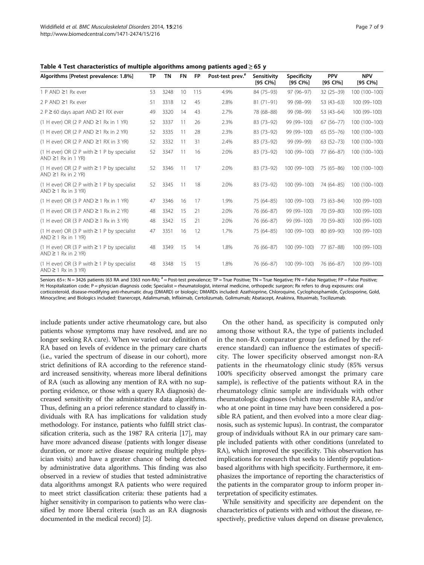<span id="page-6-0"></span>Table 4 Test characteristics of multiple algorithms among patients aged  $\geq$  65 y

| Algorithms [Pretest prevalence: 1.8%]                                        | <b>TP</b> | <b>TN</b> | <b>FN</b> | <b>FP</b> | Post-test prev." | Sensitivity<br>$[95 \text{ Cl}\%]$ | <b>Specificity</b><br>$[95 \text{ Cl}\%]$ | <b>PPV</b><br>$[95 \text{ Cl}\%]$ | <b>NPV</b><br>$[95 \text{ Cl}\%]$ |
|------------------------------------------------------------------------------|-----------|-----------|-----------|-----------|------------------|------------------------------------|-------------------------------------------|-----------------------------------|-----------------------------------|
| 1 P AND ≥1 Rx ever                                                           | 53        | 3248      | 10        | 115       | 4.9%             | 84 (75-93)                         | 97 (96-97)                                | $32(25-39)$                       | 100 (100-100)                     |
| $2 P$ AND $\geq 1$ Rx ever                                                   | 51        | 3318      | 12        | 45        | 2.8%             | $81(71-91)$                        | 99 (98-99)                                | $53(43-63)$                       | 100 (99-100)                      |
| $2 P \ge 60$ days apart AND $\ge 1$ RX ever                                  | 49        | 3320      | 14        | 43        | 2.7%             | 78 (68-88)                         | 99 (98-99)                                | $53(43-64)$                       | 100 (99-100)                      |
| $(1 H ever) OR (2 P AND \geq 1 Rx in 1 YR)$                                  | 52        | 3337      | 11        | 26        | 2.3%             | 83 (73-92)                         | 99 (99-100)                               | $67(56 - 77)$                     | 100 (100-100)                     |
| $(1 H ever) OR (2 P AND \geq 1 Rx in 2 YR)$                                  | 52        | 3335      | 11        | 28        | 2.3%             | 83 (73-92)                         | 99 (99-100)                               | $65(55 - 76)$                     | 100 (100-100)                     |
| $(1 + 1)$ ever) OR $(2 + 1)$ AND $\geq 1$ RX in 3 YR)                        | 52        | 3332      | 11        | 31        | 2.4%             | 83 (73-92)                         | 99 (99-99)                                | $63(52-73)$                       | 100 (100-100)                     |
| $(1 H ever) OR (2 P with \geq 1 P by specialist$<br>AND $\geq$ 1 Rx in 1 YR) | 52        | 3347      | 11        | 16        | 2.0%             | 83 (73-92)                         | 100 (99-100)                              | 77 (66-87)                        | 100 (100-100)                     |
| $(1 H ever) OR (2 P with \geq 1 P by specialist$<br>AND $\geq$ 1 Rx in 2 YR) | 52        | 3346      | 11        | 17        | 2.0%             | 83 (73-92)                         | 100 (99-100)                              | 75 (65-86)                        | 100 (100-100)                     |
| $(1 H ever) OR (2 P with \geq 1 P by specialist$<br>$AND \ge 1$ Rx in 3 YR)  | 52        | 3345      | 11        | 18        | 2.0%             | 83 (73-92)                         | 100 (99-100)                              | 74 (64-85)                        | 100 (100-100)                     |
| $(1 H ever) OR (3 P AND \geq 1 Rx in 1 YR)$                                  | 47        | 3346      | 16        | 17        | 1.9%             | 75 (64-85)                         | 100 (99-100)                              | $73(63 - 84)$                     | 100 (99-100)                      |
| $(1 H ever) OR (3 P AND \ge 1 Rx in 2 YR)$                                   | 48        | 3342      | 15        | 21        | 2.0%             | 76 (66-87)                         | 99 (99-100)                               | 70 (59-80)                        | 100 (99-100)                      |
| $(1 H ever) OR (3 P AND \ge 1 Rx in 3 YR)$                                   | 48        | 3342      | 15        | 21        | 2.0%             | 76 (66-87)                         | 99 (99-100)                               | 70 (59-80)                        | 100 (99-100)                      |
| $(1 H ever) OR (3 P with \geq 1 P by specialist$<br>$AND \ge 1$ Rx in 1 YR)  | 47        | 3351      | 16        | 12        | 1.7%             | 75 (64-85)                         | 100 (99-100)                              | 80 (69-90)                        | 100 (99-100)                      |
| $(1 H ever) OR (3 P with \geq 1 P by specialist$<br>AND $\geq$ 1 Rx in 2 YR) | 48        | 3349      | 15        | 14        | 1.8%             | 76 (66-87)                         | 100 (99-100)                              | $77(67 - 88)$                     | 100 (99-100)                      |
| $(1 H ever) OR (3 P with \geq 1 P by specialist$<br>AND $\geq$ 1 Rx in 3 YR) | 48        | 3348      | 15        | 15        | 1.8%             | 76 (66-87)                         | 100 (99-100)                              | 76 (66-87)                        | 100 (99-100)                      |

Seniors 65+: N = 3426 patients (63 RA and 3363 non-RA); # = Post-test prevalence; TP = True Positive; TN = True Negative; FN = False Negative; FP = False Positive; H: Hospitalization code; P = physician diagnosis code; Specialist = rheumatologist, internal medicine, orthopedic surgeon; Rx refers to drug exposures: oral corticosteroid, disease-modifying anti-rheumatic drug (DMARD) or biologic; DMARDs included: Azathioprine, Chloroquine, Cyclophosphamide, Cyclosporine, Gold, Minocycline; and Biologics included: Etanercept, Adalimumab, Infliximab, Certolizumab, Golimumab; Abatacept, Anakinra, Rituximab, Tocilizumab.

include patients under active rheumatology care, but also patients whose symptoms may have resolved, and are no longer seeking RA care). When we varied our definition of RA based on levels of evidence in the primary care charts (i.e., varied the spectrum of disease in our cohort), more strict definitions of RA according to the reference standard increased sensitivity, whereas more liberal definitions of RA (such as allowing any mention of RA with no supporting evidence, or those with a query RA diagnosis) decreased sensitivity of the administrative data algorithms. Thus, defining an a priori reference standard to classify individuals with RA has implications for validation study methodology. For instance, patients who fulfill strict classification criteria, such as the 1987 RA criteria [\[17\]](#page-8-0), may have more advanced disease (patients with longer disease duration, or more active disease requiring multiple physician visits) and have a greater chance of being detected by administrative data algorithms. This finding was also observed in a review of studies that tested administrative data algorithms amongst RA patients who were required to meet strict classification criteria: these patients had a higher sensitivity in comparison to patients who were classified by more liberal criteria (such as an RA diagnosis documented in the medical record) [\[2](#page-8-0)].

On the other hand, as specificity is computed only among those without RA, the type of patients included in the non-RA comparator group (as defined by the reference standard) can influence the estimates of specificity. The lower specificity observed amongst non-RA patients in the rheumatology clinic study (85% versus 100% specificity observed amongst the primary care sample), is reflective of the patients without RA in the rheumatology clinic sample are individuals with other rheumatologic diagnoses (which may resemble RA, and/or who at one point in time may have been considered a possible RA patient, and then evolved into a more clear diagnosis, such as systemic lupus). In contrast, the comparator group of individuals without RA in our primary care sample included patients with other conditions (unrelated to RA), which improved the specificity. This observation has implications for research that seeks to identify populationbased algorithms with high specificity. Furthermore, it emphasizes the importance of reporting the characteristics of the patients in the comparator group to inform proper interpretation of specificity estimates.

While sensitivity and specificity are dependent on the characteristics of patients with and without the disease, respectively, predictive values depend on disease prevalence,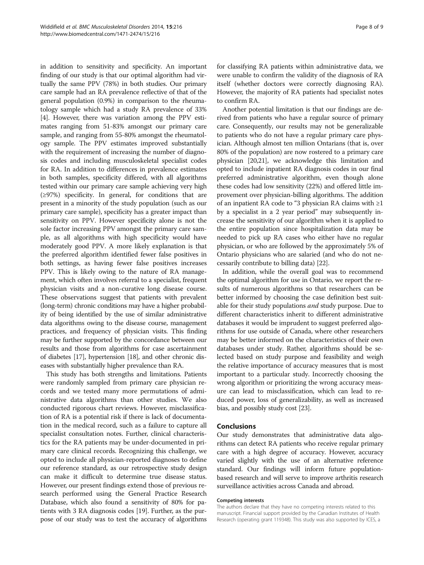in addition to sensitivity and specificity. An important finding of our study is that our optimal algorithm had virtually the same PPV (78%) in both studies. Our primary care sample had an RA prevalence reflective of that of the general population (0.9%) in comparison to the rheumatology sample which had a study RA prevalence of 33% [[4\]](#page-8-0). However, there was variation among the PPV estimates ranging from 51-83% amongst our primary care sample, and ranging from 55-80% amongst the rheumatology sample. The PPV estimates improved substantially with the requirement of increasing the number of diagnosis codes and including musculoskeletal specialist codes for RA. In addition to differences in prevalence estimates in both samples, specificity differed, with all algorithms tested within our primary care sample achieving very high (≥97%) specificity. In general, for conditions that are present in a minority of the study population (such as our primary care sample), specificity has a greater impact than sensitivity on PPV. However specificity alone is not the sole factor increasing PPV amongst the primary care sample, as all algorithms with high specificity would have moderately good PPV. A more likely explanation is that the preferred algorithm identified fewer false positives in both settings, as having fewer false positives increases PPV. This is likely owing to the nature of RA management, which often involves referral to a specialist, frequent physician visits and a non-curative long disease course. These observations suggest that patients with prevalent (long-term) chronic conditions may have a higher probability of being identified by the use of similar administrative data algorithms owing to the disease course, management practices, and frequency of physician visits. This finding may be further supported by the concordance between our results and those from algorithms for case ascertainment of diabetes [\[17\]](#page-8-0), hypertension [[18](#page-8-0)], and other chronic diseases with substantially higher prevalence than RA.

This study has both strengths and limitations. Patients were randomly sampled from primary care physician records and we tested many more permutations of administrative data algorithms than other studies. We also conducted rigorous chart reviews. However, misclassification of RA is a potential risk if there is lack of documentation in the medical record, such as a failure to capture all specialist consultation notes. Further, clinical characteristics for the RA patients may be under-documented in primary care clinical records. Recognizing this challenge, we opted to include all physician-reported diagnoses to define our reference standard, as our retrospective study design can make it difficult to determine true disease status. However, our present findings extend those of previous research performed using the General Practice Research Database, which also found a sensitivity of 80% for patients with 3 RA diagnosis codes [\[19](#page-8-0)]. Further, as the purpose of our study was to test the accuracy of algorithms

for classifying RA patients within administrative data, we were unable to confirm the validity of the diagnosis of RA itself (whether doctors were correctly diagnosing RA). However, the majority of RA patients had specialist notes to confirm RA.

Another potential limitation is that our findings are derived from patients who have a regular source of primary care. Consequently, our results may not be generalizable to patients who do not have a regular primary care physician. Although almost ten million Ontarians (that is, over 80% of the population) are now rostered to a primary care physician [\[20,21](#page-8-0)], we acknowledge this limitation and opted to include inpatient RA diagnosis codes in our final preferred administrative algorithm, even though alone these codes had low sensitivity (22%) and offered little improvement over physician-billing algorithms. The addition of an inpatient RA code to "3 physician RA claims with ≥1 by a specialist in a 2 year period" may subsequently increase the sensitivity of our algorithm when it is applied to the entire population since hospitalization data may be needed to pick up RA cases who either have no regular physician, or who are followed by the approximately 5% of Ontario physicians who are salaried (and who do not necessarily contribute to billing data) [\[22\]](#page-8-0).

In addition, while the overall goal was to recommend the optimal algorithm for use in Ontario, we report the results of numerous algorithms so that researchers can be better informed by choosing the case definition best suitable for their study populations *and* study purpose. Due to different characteristics inherit to different administrative databases it would be imprudent to suggest preferred algorithms for use outside of Canada, where other researchers may be better informed on the characteristics of their own databases under study. Rather, algorithms should be selected based on study purpose and feasibility and weigh the relative importance of accuracy measures that is most important to a particular study. Incorrectly choosing the wrong algorithm or prioritizing the wrong accuracy measure can lead to misclassification, which can lead to reduced power, loss of generalizability, as well as increased bias, and possibly study cost [[23](#page-8-0)].

#### Conclusions

Our study demonstrates that administrative data algorithms can detect RA patients who receive regular primary care with a high degree of accuracy. However, accuracy varied slightly with the use of an alternative reference standard. Our findings will inform future populationbased research and will serve to improve arthritis research surveillance activities across Canada and abroad.

#### Competing interests

The authors declare that they have no competing interests related to this manuscript. Financial support provided by the Canadian Institutes of Health Research (operating grant 119348). This study was also supported by ICES, a